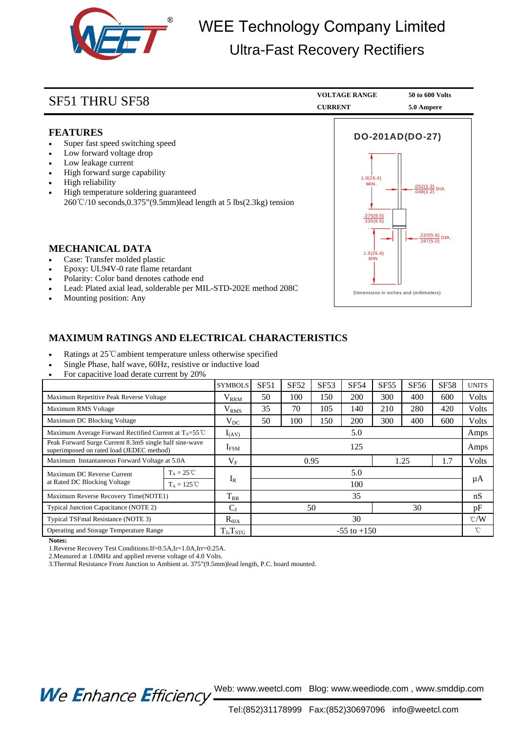

## WEE Technology Company Limited Ultra-Fast Recovery Rectifiers

| <b>SF51 THRU SF58</b>                                                                                                                                                                                                                                                                         | <b>VOLTAGE RANGE</b><br><b>CURRENT</b>                         | 50 to 600 Volts<br>5.0 Ampere                                     |  |
|-----------------------------------------------------------------------------------------------------------------------------------------------------------------------------------------------------------------------------------------------------------------------------------------------|----------------------------------------------------------------|-------------------------------------------------------------------|--|
| <b>FEATURES</b><br>Super fast speed switching speed<br>Low forward voltage drop<br>Low leakage current<br>High forward surge capability<br>High reliability<br>High temperature soldering guaranteed<br>$260^{\circ}\text{C}/10$ seconds, 0.375" (9.5mm) lead length at 5 lbs (2.3kg) tension | DO-201AD(DO-27)<br>1.0(25.4)<br>MIN.<br>.375(9.5)<br>.335(8.5) | $\frac{.052(1.3)}{.048(1.2)}$ DIA.<br>.220(5.6) DIA.<br>.197(5.0) |  |
| <b>MECHANICAL DATA</b><br>Case: Transfer molded plastic<br>Epoxy: UL94V-0 rate flame retardant<br>Polarity: Color band denotes cathode end<br>Lead: Plated axial lead, solderable per MIL-STD-202E method 208C<br>Mounting position: Any                                                      | 1.0(25.4)<br>MIN.<br>Dimensions in inches and (millimeters)    |                                                                   |  |

## **MAXIMUM RATINGS AND ELECTRICAL CHARACTERISTICS**

- Ratings at 25℃ambient temperature unless otherwise specified
- Single Phase, half wave, 60Hz, resistive or inductive load
- For capacitive load derate current by 20%

|                                                                                                     |                      | <b>SYMBOLS</b>    | SF51                | <b>SF52</b> | SF53 | <b>SF54</b> | <b>SF55</b> | SF56 | <b>SF58</b>     | <b>UNITS</b> |
|-----------------------------------------------------------------------------------------------------|----------------------|-------------------|---------------------|-------------|------|-------------|-------------|------|-----------------|--------------|
| Maximum Repetitive Peak Reverse Voltage                                                             |                      | $\rm V_{\rm RRM}$ | 50                  | 100         | 150  | 200         | 300         | 400  | 600             | Volts        |
| Maximum RMS Voltage                                                                                 |                      | $\rm V_{RMS}$     | 35                  | 70          | 105  | 140         | 210         | 280  | 420             | Volts        |
| Maximum DC Blocking Voltage                                                                         |                      | $V_{DC}$          | 50                  | 100         | 150  | 200         | 300         | 400  | 600             | Volts        |
| Maximum Average Forward Rectified Current at $T_A = 55^{\circ}$ C                                   |                      | $I_{(AV)}$        | 5.0                 |             |      |             |             |      |                 | Amps         |
| Peak Forward Surge Current 8.3mS single half sine-wave<br>superimposed on rated load (JEDEC method) |                      | I <sub>FSM</sub>  | 125                 |             |      |             |             |      |                 | Amps         |
| Maximum Instantaneous Forward Voltage at 5.0A                                                       |                      | $V_{\rm F}$       | 1.7<br>0.95<br>1.25 |             |      |             |             |      | Volts           |              |
| Maximum DC Reverse Current<br>at Rated DC Blocking Voltage                                          | $T_A = 25 \degree C$ |                   | 5.0                 |             |      |             |             |      |                 |              |
|                                                                                                     | $T_A = 125^{\circ}C$ | $I_R$             | 100                 |             |      |             |             |      |                 | μA           |
| Maximum Reverse Recovery Time(NOTE1)                                                                |                      | $T_{RR}$          | 35                  |             |      |             |             |      | nS              |              |
| Typical Junction Capacitance (NOTE 2)                                                               |                      | $C_{I}$           | 30<br>50            |             |      |             |             | pF   |                 |              |
| Typical TSFmal Resistance (NOTE 3)                                                                  |                      | $R_{\theta JA}$   | 30                  |             |      |             |             |      | $\mathcal{C}/W$ |              |
| Operating and Storage Temperature Range                                                             |                      | $T_J, T_{STG}$    | $-55$ to $+150$     |             |      |             |             |      | °C              |              |

**Notes:**

1.Reverse Recovery Test Conditions:If=0.5A,Ir=1.0A,Irr=0.25A.

2.Measured at 1.0MHz and applied reverse voltage of 4.0 Volts.

3.Thermal Resistance From Junction to Ambient at. 375"(9.5mm)lead length, P.C. board mounted.

We Enhance Efficiency Web: www.weetcl.com Blog: www.weediode.com, www.smddip.com